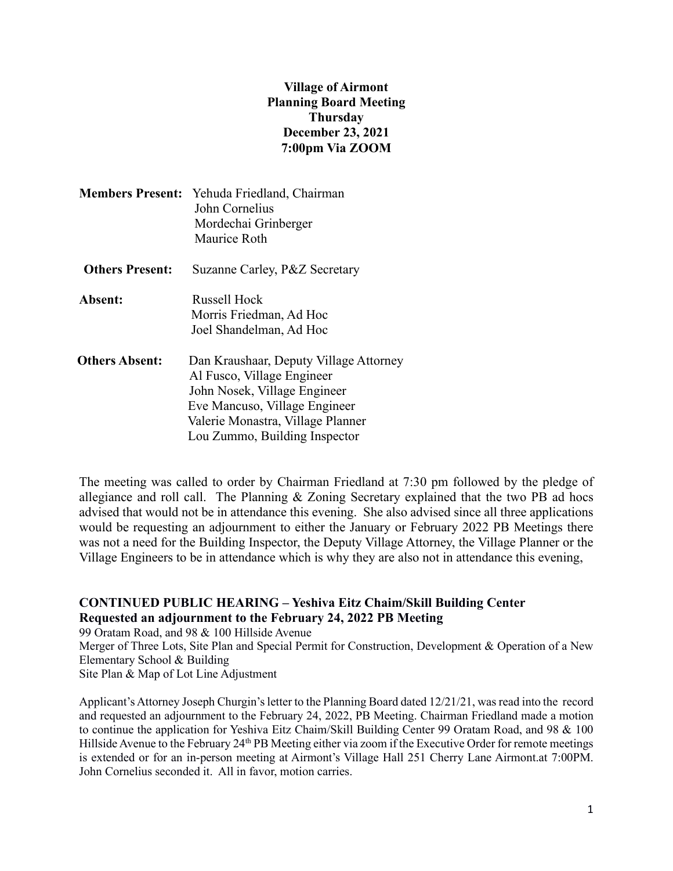## **Village of Airmont Planning Board Meeting Thursday December 23, 2021 7:00pm Via ZOOM**

|                        | <b>Members Present:</b> Yehuda Friedland, Chairman<br>John Cornelius<br>Mordechai Grinberger<br>Maurice Roth                                                                                                |
|------------------------|-------------------------------------------------------------------------------------------------------------------------------------------------------------------------------------------------------------|
| <b>Others Present:</b> | Suzanne Carley, P&Z Secretary                                                                                                                                                                               |
| Absent:                | <b>Russell Hock</b><br>Morris Friedman, Ad Hoc<br>Joel Shandelman, Ad Hoc                                                                                                                                   |
| <b>Others Absent:</b>  | Dan Kraushaar, Deputy Village Attorney<br>Al Fusco, Village Engineer<br>John Nosek, Village Engineer<br>Eve Mancuso, Village Engineer<br>Valerie Monastra, Village Planner<br>Lou Zummo, Building Inspector |

The meeting was called to order by Chairman Friedland at 7:30 pm followed by the pledge of allegiance and roll call. The Planning & Zoning Secretary explained that the two PB ad hocs advised that would not be in attendance this evening. She also advised since all three applications would be requesting an adjournment to either the January or February 2022 PB Meetings there was not a need for the Building Inspector, the Deputy Village Attorney, the Village Planner or the Village Engineers to be in attendance which is why they are also not in attendance this evening,

## **CONTINUED PUBLIC HEARING – Yeshiva Eitz Chaim/Skill Building Center Requested an adjournment to the February 24, 2022 PB Meeting**

99 Oratam Road, and 98 & 100 Hillside Avenue Merger of Three Lots, Site Plan and Special Permit for Construction, Development & Operation of a New Elementary School & Building Site Plan & Map of Lot Line Adjustment

Applicant's Attorney Joseph Churgin's letter to the Planning Board dated 12/21/21, was read into the record and requested an adjournment to the February 24, 2022, PB Meeting. Chairman Friedland made a motion to continue the application for Yeshiva Eitz Chaim/Skill Building Center 99 Oratam Road, and 98 & 100 Hillside Avenue to the February 24<sup>th</sup> PB Meeting either via zoom if the Executive Order for remote meetings is extended or for an in-person meeting at Airmont's Village Hall 251 Cherry Lane Airmont.at 7:00PM. John Cornelius seconded it. All in favor, motion carries.